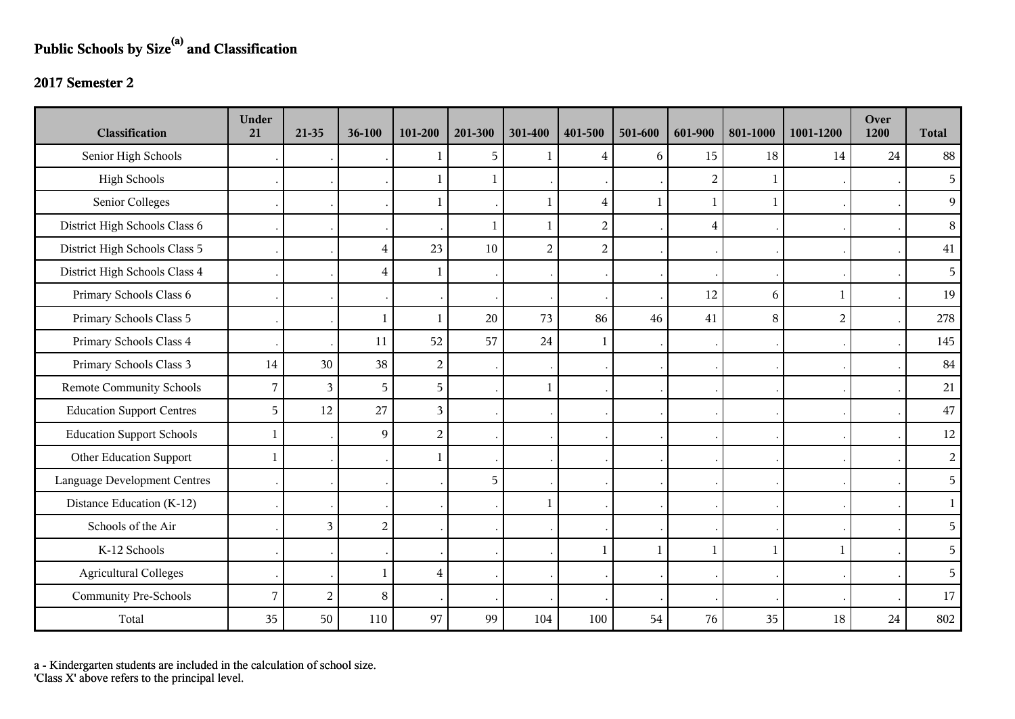## **Public Schools by Size(a) and Classification**

## **2017 Semester 2**

| <b>Classification</b>               | <b>Under</b><br>21 | 21-35          | 36-100         | 101-200        | 201-300      | 301-400        | 401-500                 | 501-600      | 601-900        | 801-1000     | 1001-1200      | Over<br>1200 | <b>Total</b>   |
|-------------------------------------|--------------------|----------------|----------------|----------------|--------------|----------------|-------------------------|--------------|----------------|--------------|----------------|--------------|----------------|
| Senior High Schools                 |                    |                |                | 1              | 5            | $\mathbf{1}$   | 4                       | 6            | 15             | 18           | 14             | 24           | 88             |
| <b>High Schools</b>                 |                    |                |                | 1              | -1           |                |                         |              | $\overline{2}$ | 1            |                |              | 5              |
| Senior Colleges                     |                    |                |                | 1              |              | $\mathbf{1}$   | $\overline{\mathbf{4}}$ | $\mathbf{1}$ |                | $\mathbf{1}$ |                |              | 9              |
| District High Schools Class 6       |                    |                |                |                | $\mathbf{1}$ | $\mathbf{1}$   | $\overline{2}$          |              | $\overline{4}$ |              |                |              | 8              |
| District High Schools Class 5       |                    |                | $\overline{4}$ | 23             | 10           | $\overline{2}$ | $\sqrt{2}$              |              |                |              |                |              | $41\,$         |
| District High Schools Class 4       |                    |                | $\overline{4}$ | $\mathbf{1}$   |              |                |                         |              |                |              |                |              | 5              |
| Primary Schools Class 6             |                    |                |                |                |              |                |                         |              | 12             | 6            | $\mathbf{1}$   |              | 19             |
| Primary Schools Class 5             |                    |                | $\mathbf{1}$   | $\mathbf{1}$   | 20           | 73             | 86                      | 46           | 41             | 8            | $\overline{2}$ |              | 278            |
| Primary Schools Class 4             |                    |                | 11             | 52             | 57           | 24             | 1                       |              |                |              |                |              | 145            |
| Primary Schools Class 3             | 14                 | 30             | 38             | $\overline{2}$ |              |                |                         |              |                |              |                |              | 84             |
| <b>Remote Community Schools</b>     | 7                  | 3              | 5              | 5              |              | $\mathbf{1}$   |                         |              |                |              |                |              | 21             |
| <b>Education Support Centres</b>    | 5                  | 12             | 27             | 3              |              |                |                         |              |                |              |                |              | 47             |
| <b>Education Support Schools</b>    | 1                  |                | 9              | $\overline{c}$ |              |                |                         |              |                |              |                |              | 12             |
| Other Education Support             | 1                  |                |                | 1              |              |                |                         |              |                |              |                |              | $\overline{2}$ |
| <b>Language Development Centres</b> |                    |                |                |                | 5            |                |                         |              |                |              |                |              | 5              |
| Distance Education (K-12)           |                    |                |                |                |              | -1             |                         |              |                |              |                |              | $\mathbf{1}$   |
| Schools of the Air                  |                    | 3              | $\overline{2}$ |                |              |                |                         |              |                |              |                |              | 5              |
| K-12 Schools                        |                    |                |                |                |              |                | 1                       | $\mathbf{1}$ | $\mathbf{1}$   | $\mathbf{1}$ | $\mathbf{1}$   |              | 5              |
| <b>Agricultural Colleges</b>        |                    |                | 1              | 4              |              |                |                         |              |                |              |                |              | 5              |
| <b>Community Pre-Schools</b>        | $\overline{7}$     | $\overline{c}$ | $8\,$          |                |              |                |                         |              |                |              |                |              | 17             |
| Total                               | 35                 | 50             | 110            | 97             | 99           | 104            | 100                     | 54           | 76             | 35           | 18             | 24           | 802            |

a - Kindergarten students are included in the calculation of school size.

'Class X' above refers to the principal level.